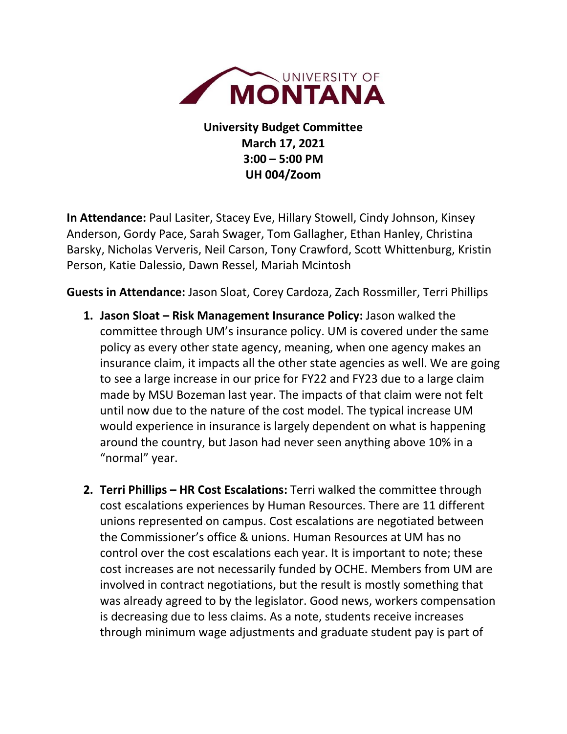

**University Budget Committee March 17, 2021 3:00 – 5:00 PM UH 004/Zoom**

**In Attendance:** Paul Lasiter, Stacey Eve, Hillary Stowell, Cindy Johnson, Kinsey Anderson, Gordy Pace, Sarah Swager, Tom Gallagher, Ethan Hanley, Christina Barsky, Nicholas Ververis, Neil Carson, Tony Crawford, Scott Whittenburg, Kristin Person, Katie Dalessio, Dawn Ressel, Mariah Mcintosh

**Guests in Attendance:** Jason Sloat, Corey Cardoza, Zach Rossmiller, Terri Phillips

- **1. Jason Sloat – Risk Management Insurance Policy:** Jason walked the committee through UM's insurance policy. UM is covered under the same policy as every other state agency, meaning, when one agency makes an insurance claim, it impacts all the other state agencies as well. We are going to see a large increase in our price for FY22 and FY23 due to a large claim made by MSU Bozeman last year. The impacts of that claim were not felt until now due to the nature of the cost model. The typical increase UM would experience in insurance is largely dependent on what is happening around the country, but Jason had never seen anything above 10% in a "normal" year.
- **2. Terri Phillips – HR Cost Escalations:** Terri walked the committee through cost escalations experiences by Human Resources. There are 11 different unions represented on campus. Cost escalations are negotiated between the Commissioner's office & unions. Human Resources at UM has no control over the cost escalations each year. It is important to note; these cost increases are not necessarily funded by OCHE. Members from UM are involved in contract negotiations, but the result is mostly something that was already agreed to by the legislator. Good news, workers compensation is decreasing due to less claims. As a note, students receive increases through minimum wage adjustments and graduate student pay is part of